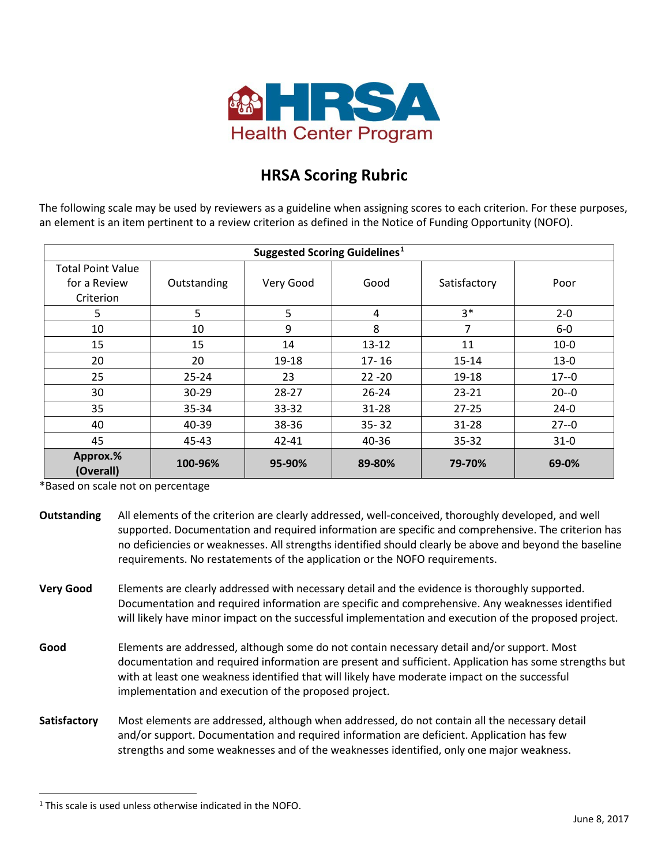

## **HRSA Scoring Rubric**

The following scale may be used by reviewers as a guideline when assigning scores to each criterion. For these purposes, an element is an item pertinent to a review criterion as defined in the Notice of Funding Opportunity (NOFO).

| Suggested Scoring Guidelines <sup>1</sup> |             |           |           |              |          |
|-------------------------------------------|-------------|-----------|-----------|--------------|----------|
| <b>Total Point Value</b>                  |             |           |           |              |          |
| for a Review                              | Outstanding | Very Good | Good      | Satisfactory | Poor     |
| Criterion                                 |             |           |           |              |          |
| 5                                         | 5           | 5         | 4         | $3*$         | $2 - 0$  |
| 10                                        | 10          | 9         | 8         | 7            | $6-0$    |
| 15                                        | 15          | 14        | $13 - 12$ | 11           | $10-0$   |
| 20                                        | 20          | 19-18     | $17 - 16$ | $15 - 14$    | $13-0$   |
| 25                                        | $25 - 24$   | 23        | $22 - 20$ | 19-18        | $17 - 0$ |
| 30                                        | $30 - 29$   | 28-27     | $26 - 24$ | $23 - 21$    | $20 - 0$ |
| 35                                        | 35-34       | 33-32     | $31 - 28$ | $27 - 25$    | $24-0$   |
| 40                                        | 40-39       | 38-36     | $35 - 32$ | $31 - 28$    | $27 - 0$ |
| 45                                        | 45-43       | 42-41     | 40-36     | $35 - 32$    | $31-0$   |
| Approx.%<br>(Overall)                     | 100-96%     | 95-90%    | 89-80%    | 79-70%       | 69-0%    |

\*Based on scale not on percentage

- **Outstanding** All elements of the criterion are clearly addressed, well-conceived, thoroughly developed, and well supported. Documentation and required information are specific and comprehensive. The criterion has no deficiencies or weaknesses. All strengths identified should clearly be above and beyond the baseline requirements. No restatements of the application or the NOFO requirements.
- **Very Good** Elements are clearly addressed with necessary detail and the evidence is thoroughly supported. Documentation and required information are specific and comprehensive. Any weaknesses identified will likely have minor impact on the successful implementation and execution of the proposed project.
- **Good** Elements are addressed, although some do not contain necessary detail and/or support. Most documentation and required information are present and sufficient. Application has some strengths but with at least one weakness identified that will likely have moderate impact on the successful implementation and execution of the proposed project.
- **Satisfactory** Most elements are addressed, although when addressed, do not contain all the necessary detail and/or support. Documentation and required information are deficient. Application has few strengths and some weaknesses and of the weaknesses identified, only one major weakness.

 $\overline{a}$ 

<span id="page-0-0"></span> $1$  This scale is used unless otherwise indicated in the NOFO.